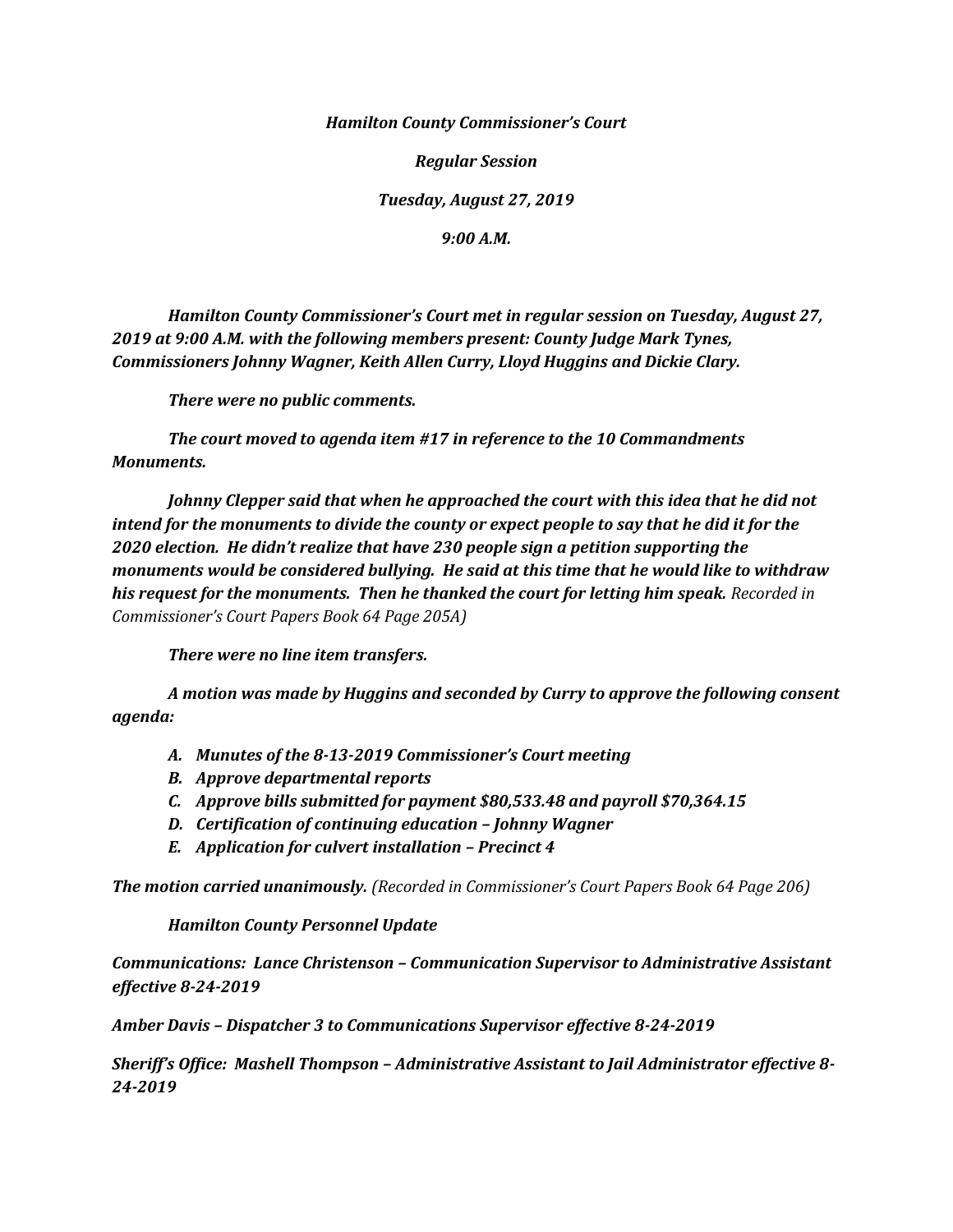*Hamilton County Commissioner's Court*

*Regular Session*

*Tuesday, August 27, 2019*

*9:00 A.M.*

*Hamilton County Commissioner's Court met in regular session on Tuesday, August 27, 2019 at 9:00 A.M. with the following members present: County Judge Mark Tynes, Commissioners Johnny Wagner, Keith Allen Curry, Lloyd Huggins and Dickie Clary.*

*There were no public comments.*

*The court moved to agenda item #17 in reference to the 10 Commandments Monuments.*

*Johnny Clepper said that when he approached the court with this idea that he did not intend for the monuments to divide the county or expect people to say that he did it for the 2020 election. He didn't realize that have 230 people sign a petition supporting the monuments would be considered bullying. He said at this time that he would like to withdraw his request for the monuments. Then he thanked the court for letting him speak. Recorded in Commissioner's Court Papers Book 64 Page 205A)*

*There were no line item transfers.*

*A motion was made by Huggins and seconded by Curry to approve the following consent agenda:*

- *A. Munutes of the 8-13-2019 Commissioner's Court meeting*
- *B. Approve departmental reports*
- *C. Approve bills submitted for payment \$80,533.48 and payroll \$70,364.15*
- *D. Certification of continuing education – Johnny Wagner*
- *E. Application for culvert installation – Precinct 4*

*The motion carried unanimously. (Recorded in Commissioner's Court Papers Book 64 Page 206)*

## *Hamilton County Personnel Update*

*Communications: Lance Christenson – Communication Supervisor to Administrative Assistant effective 8-24-2019* 

*Amber Davis – Dispatcher 3 to Communications Supervisor effective 8-24-2019*

*Sheriff's Office: Mashell Thompson – Administrative Assistant to Jail Administrator effective 8- 24-2019*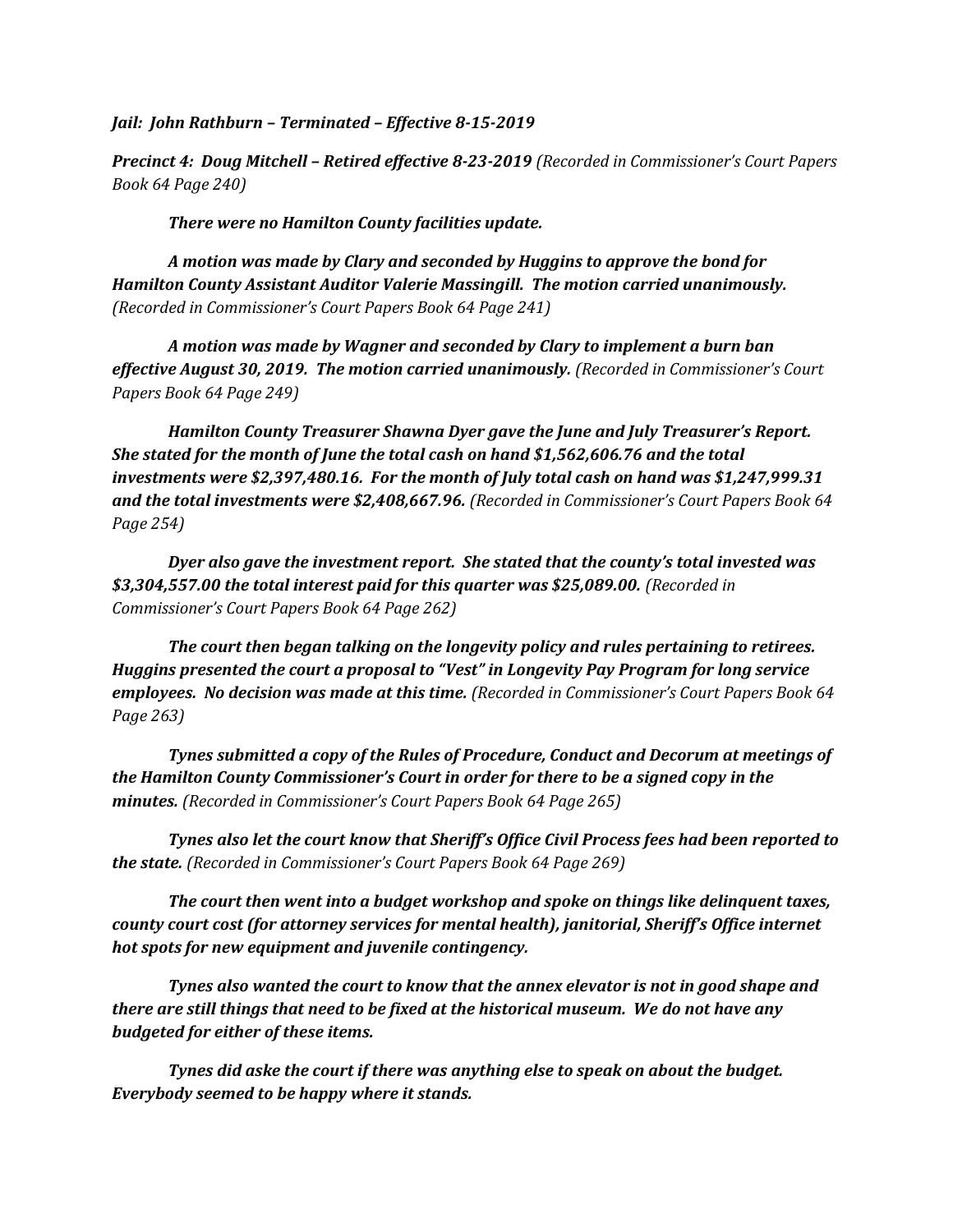*Jail: John Rathburn – Terminated – Effective 8-15-2019*

*Precinct 4: Doug Mitchell – Retired effective 8-23-2019 (Recorded in Commissioner's Court Papers Book 64 Page 240)*

*There were no Hamilton County facilities update.*

*A motion was made by Clary and seconded by Huggins to approve the bond for Hamilton County Assistant Auditor Valerie Massingill. The motion carried unanimously. (Recorded in Commissioner's Court Papers Book 64 Page 241)*

*A motion was made by Wagner and seconded by Clary to implement a burn ban effective August 30, 2019. The motion carried unanimously. (Recorded in Commissioner's Court Papers Book 64 Page 249)*

*Hamilton County Treasurer Shawna Dyer gave the June and July Treasurer's Report. She stated for the month of June the total cash on hand \$1,562,606.76 and the total investments were \$2,397,480.16. For the month of July total cash on hand was \$1,247,999.31 and the total investments were \$2,408,667.96. (Recorded in Commissioner's Court Papers Book 64 Page 254)*

*Dyer also gave the investment report. She stated that the county's total invested was \$3,304,557.00 the total interest paid for this quarter was \$25,089.00. (Recorded in Commissioner's Court Papers Book 64 Page 262)*

*The court then began talking on the longevity policy and rules pertaining to retirees. Huggins presented the court a proposal to "Vest" in Longevity Pay Program for long service employees. No decision was made at this time. (Recorded in Commissioner's Court Papers Book 64 Page 263)*

*Tynes submitted a copy of the Rules of Procedure, Conduct and Decorum at meetings of the Hamilton County Commissioner's Court in order for there to be a signed copy in the minutes. (Recorded in Commissioner's Court Papers Book 64 Page 265)*

*Tynes also let the court know that Sheriff's Office Civil Process fees had been reported to the state. (Recorded in Commissioner's Court Papers Book 64 Page 269)*

*The court then went into a budget workshop and spoke on things like delinquent taxes, county court cost (for attorney services for mental health), janitorial, Sheriff's Office internet hot spots for new equipment and juvenile contingency.* 

*Tynes also wanted the court to know that the annex elevator is not in good shape and there are still things that need to be fixed at the historical museum. We do not have any budgeted for either of these items.*

*Tynes did aske the court if there was anything else to speak on about the budget. Everybody seemed to be happy where it stands.*